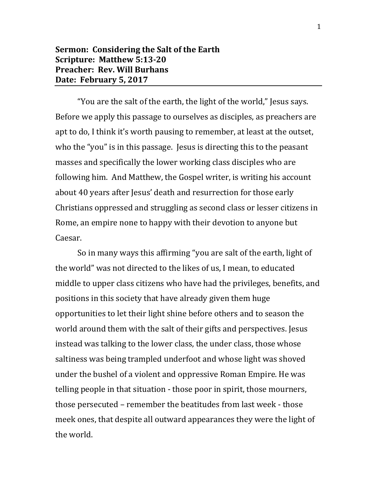## **Sermon: Considering the Salt of the Earth Scripture: Matthew 5:13-20 Preacher: Rev. Will Burhans Date: February 5, 2017**

"You are the salt of the earth, the light of the world," Jesus says. Before we apply this passage to ourselves as disciples, as preachers are apt to do, I think it's worth pausing to remember, at least at the outset, who the "you" is in this passage. Jesus is directing this to the peasant masses and specifically the lower working class disciples who are following him. And Matthew, the Gospel writer, is writing his account about 40 years after Jesus' death and resurrection for those early Christians oppressed and struggling as second class or lesser citizens in Rome, an empire none to happy with their devotion to anyone but Caesar.

So in many ways this affirming "you are salt of the earth, light of the world" was not directed to the likes of us, I mean, to educated middle to upper class citizens who have had the privileges, benefits, and positions in this society that have already given them huge opportunities to let their light shine before others and to season the world around them with the salt of their gifts and perspectives. Jesus instead was talking to the lower class, the under class, those whose saltiness was being trampled underfoot and whose light was shoved under the bushel of a violent and oppressive Roman Empire. He was telling people in that situation - those poor in spirit, those mourners, those persecuted – remember the beatitudes from last week - those meek ones, that despite all outward appearances they were the light of the world.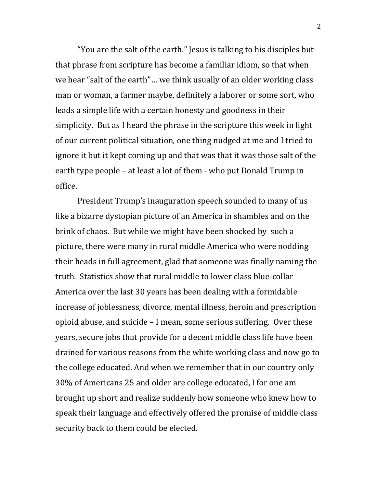"You are the salt of the earth." Jesus is talking to his disciples but that phrase from scripture has become a familiar idiom, so that when we hear "salt of the earth"… we think usually of an older working class man or woman, a farmer maybe, definitely a laborer or some sort, who leads a simple life with a certain honesty and goodness in their simplicity. But as I heard the phrase in the scripture this week in light of our current political situation, one thing nudged at me and I tried to ignore it but it kept coming up and that was that it was those salt of the earth type people – at least a lot of them - who put Donald Trump in office.

President Trump's inauguration speech sounded to many of us like a bizarre dystopian picture of an America in shambles and on the brink of chaos. But while we might have been shocked by such a picture, there were many in rural middle America who were nodding their heads in full agreement, glad that someone was finally naming the truth. Statistics show that rural middle to lower class blue-collar America over the last 30 years has been dealing with a formidable increase of joblessness, divorce, mental illness, heroin and prescription opioid abuse, and suicide – I mean, some serious suffering. Over these years, secure jobs that provide for a decent middle class life have been drained for various reasons from the white working class and now go to the college educated. And when we remember that in our country only 30% of Americans 25 and older are college educated, I for one am brought up short and realize suddenly how someone who knew how to speak their language and effectively offered the promise of middle class security back to them could be elected.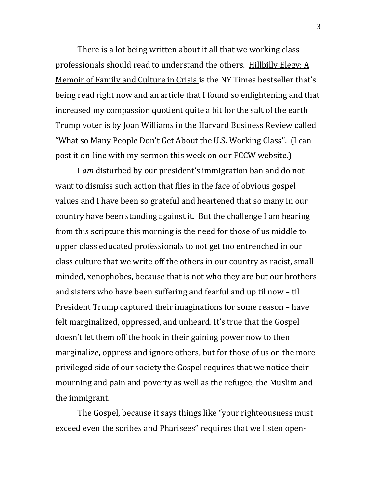There is a lot being written about it all that we working class professionals should read to understand the others. Hillbilly Elegy: A Memoir of Family and Culture in Crisis is the NY Times bestseller that's being read right now and an article that I found so enlightening and that increased my compassion quotient quite a bit for the salt of the earth Trump voter is by Joan Williams in the Harvard Business Review called "What so Many People Don't Get About the U.S. Working Class". (I can post it on-line with my sermon this week on our FCCW website.)

I *am* disturbed by our president's immigration ban and do not want to dismiss such action that flies in the face of obvious gospel values and I have been so grateful and heartened that so many in our country have been standing against it. But the challenge I am hearing from this scripture this morning is the need for those of us middle to upper class educated professionals to not get too entrenched in our class culture that we write off the others in our country as racist, small minded, xenophobes, because that is not who they are but our brothers and sisters who have been suffering and fearful and up til now – til President Trump captured their imaginations for some reason – have felt marginalized, oppressed, and unheard. It's true that the Gospel doesn't let them off the hook in their gaining power now to then marginalize, oppress and ignore others, but for those of us on the more privileged side of our society the Gospel requires that we notice their mourning and pain and poverty as well as the refugee, the Muslim and the immigrant.

The Gospel, because it says things like "your righteousness must exceed even the scribes and Pharisees" requires that we listen open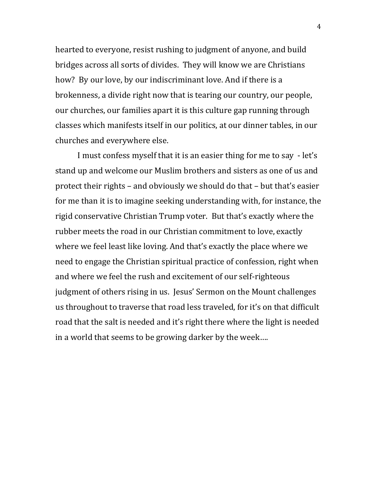hearted to everyone, resist rushing to judgment of anyone, and build bridges across all sorts of divides. They will know we are Christians how? By our love, by our indiscriminant love. And if there is a brokenness, a divide right now that is tearing our country, our people, our churches, our families apart it is this culture gap running through classes which manifests itself in our politics, at our dinner tables, in our churches and everywhere else.

I must confess myself that it is an easier thing for me to say - let's stand up and welcome our Muslim brothers and sisters as one of us and protect their rights – and obviously we should do that – but that's easier for me than it is to imagine seeking understanding with, for instance, the rigid conservative Christian Trump voter. But that's exactly where the rubber meets the road in our Christian commitment to love, exactly where we feel least like loving. And that's exactly the place where we need to engage the Christian spiritual practice of confession, right when and where we feel the rush and excitement of our self-righteous judgment of others rising in us. Jesus' Sermon on the Mount challenges us throughout to traverse that road less traveled, for it's on that difficult road that the salt is needed and it's right there where the light is needed in a world that seems to be growing darker by the week….